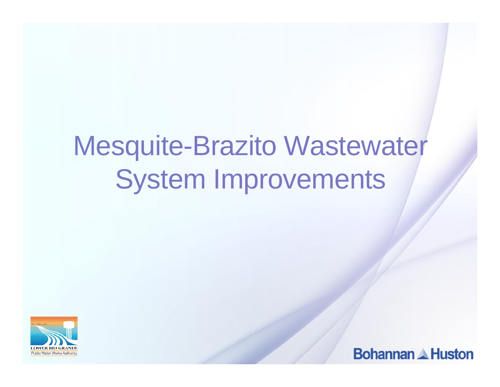# Mesquite-Brazito Wastewater System Improvements



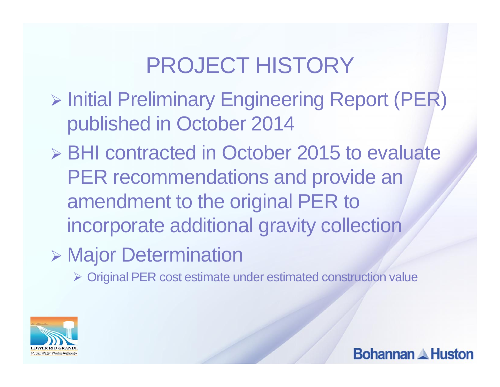# PROJECT HISTORY

- **Engineering Report (PER)** > Initial Preliminary Engineering Report (PER) published in October 2014
- **▶ BHI contracted in October 2015 to evaluate** PER recommendations and provide an amendment to the original PER to incorporate additional gravity collection
- Major Determination

Original PER cost estimate under estimated construction value

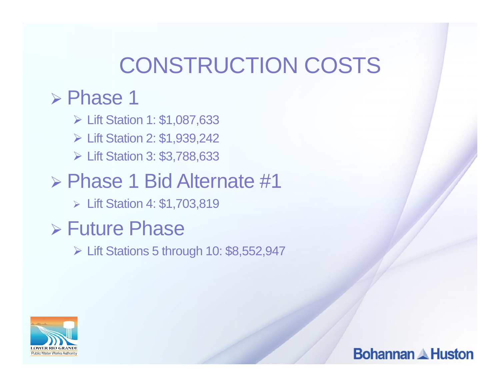## CONSTRUCTION COSTS

#### $\triangleright$  Phase 1

- Lift Station 1: \$1,087,633
- Lift Station 2: \$1,939,242
- Lift Station 3: \$3,788,633

### Phase 1 Bid Alternate #1

Lift Station 4: \$1,703,819

### Future Phase

Lift Stations 5 through 10: \$8,552,947

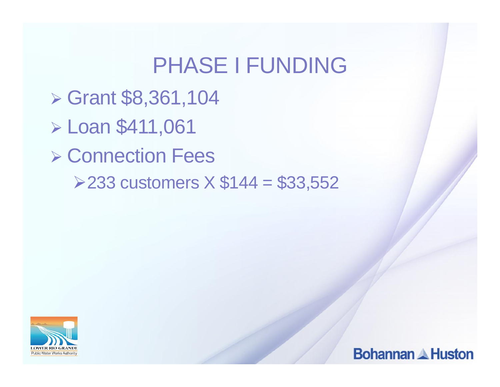### PHASE I FUNDING

- $\triangleright$  Grant \$8,361,104
- Loan \$411,061
- **▶ Connection Fees** 
	- $\ge$  233 customers  $X$  \$144 = \$33,552



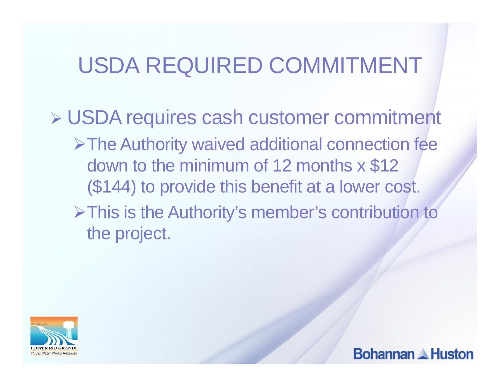# USDA REQUIRED COMMITMENT

 USDA requires cash customer commitment **≻The Authority waived additional connection fee** down to the minimum of 12 months x \$12 (\$144) to provide this benefit at a lower cost. This is the Authority's member's contribution to the project.



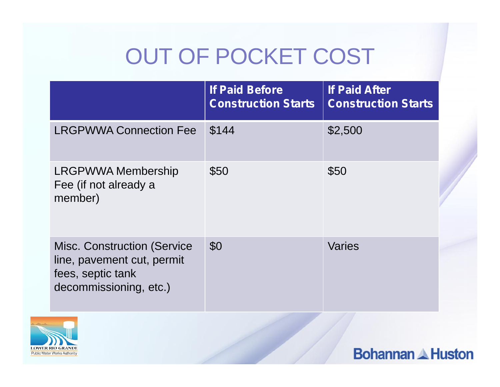# OUT OF POCKET COST

|                                                                                                                  | <b>If Paid Before</b><br><b>Construction Starts</b> | <b>If Paid After</b><br><b>Construction Starts</b> |  |
|------------------------------------------------------------------------------------------------------------------|-----------------------------------------------------|----------------------------------------------------|--|
| <b>LRGPWWA Connection Fee</b>                                                                                    | \$144                                               | \$2,500                                            |  |
| <b>LRGPWWA Membership</b><br>Fee (if not already a<br>member)                                                    | \$50                                                | \$50                                               |  |
| <b>Misc. Construction (Service)</b><br>line, pavement cut, permit<br>fees, septic tank<br>decommissioning, etc.) | \$0                                                 | <b>Varies</b>                                      |  |

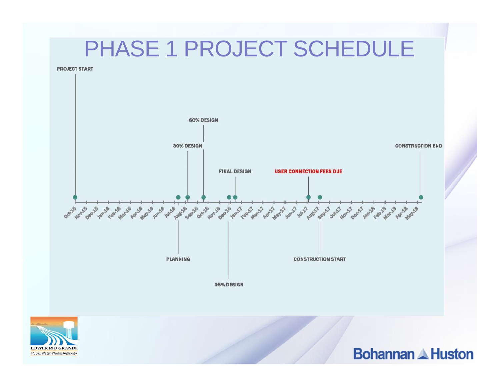### PHASE 1 PROJECT SCHEDULE

**PROJECT START** 



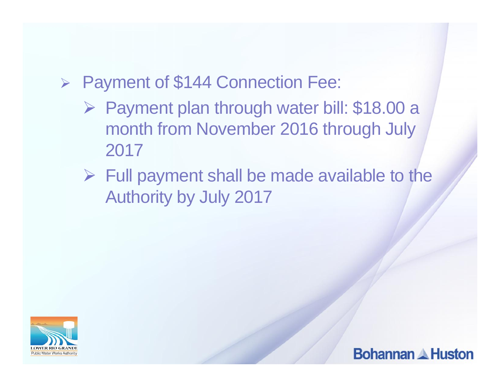#### ▶ Payment of \$144 Connection Fee:

- ▶ Payment plan through water bill: \$18.00 a month from November 2016 through July 2017
- $\triangleright$  Full payment shall be made available to the Authority by July 2017



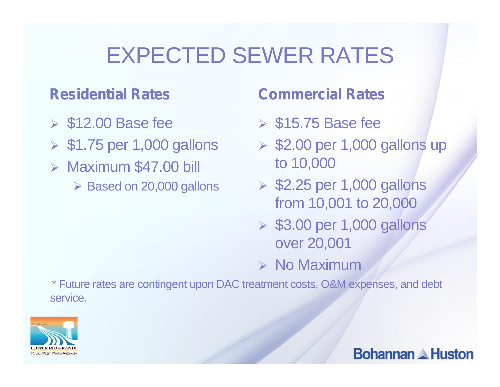## EXPECTED SEWER RATES

#### **Residential Rates**

- $\triangleright$  \$12.00 Base fee
- $\geq$  \$1.75 per 1,000 gallons
- $\triangleright$  Maximum \$47.00 bill
	- $\triangleright$  Based on 20,000 gallons

#### **Commercial Rates**

- $\geqslant$  \$15.75 Base fee
- $\geq$  \$2.00 per 1,000 gallons up to 10,000
- $\geq$  \$2.25 per 1,000 gallons from 10,001 to 20,000
- $\geq$  \$3.00 per 1,000 gallons over 20,001
- $\triangleright$  No Maximum

\* Future rates are contingent upon DAC treatment costs, O&M expenses, and debt service.

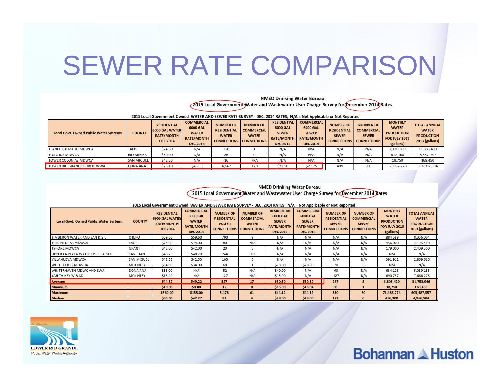# SEWER RATE COMPARISON

**NMED Drinking Water Bureau** 2015 Local Government Water and Wastewater User Charge Survey for December 2014 Rates

2015 Local Government Owned WATER AND SEWER RATE SURVEY - DEC. 2014 RATES; N/A = Not Applicable or Not Reported

| <b>Local Govt. Owned Public Water Systems</b> | <b>COUNTY</b>     | <b>RESIDENTIAL</b><br><b>6000 GAL WATER</b><br><b>RATE/MONTH</b><br><b>DEC 2014</b> | <b>COMMERCIAL</b><br><b>6000 GAL</b><br><b>WATER</b><br><b>RATE/MONTH</b><br><b>DEC 2014</b> | <b>NUMBER OF</b><br><b>RESIDENTIAL</b><br><b>WATER</b><br><b>CONNECTIONS</b> | <b>NUMBER OF</b><br><b>COMMERCIAL</b><br><b>WATER</b><br><b>CONNECTIONS</b> | <b>RESIDENTIAL</b><br><b>6000 GAL</b><br><b>SEWER</b><br><b>RATE/MONTH</b><br><b>DEC 2014</b> | <b>COMMERCIAL</b><br><b>6000 GAL</b><br><b>SEWER</b><br><b>RATE/MONTH</b><br><b>DEC 2014</b> | <b>NUMBER OF</b><br><b>RESIDENTIAL</b><br><b>SEWER</b> | <b>NUMBER OF</b><br><b>COMMERCIAL</b><br><b>SEWER</b><br><b>CONNECTIONS CONNECTIONS</b> | <b>MONTHLY</b><br><b>WATER</b><br><b>PRODUCTION</b><br><b>FOR JULY 2013</b><br>(gallons) | <b>TOTAL ANNUAL</b><br><b>WATER</b><br><b>PRODUCTION</b><br>2013 (gallons) |
|-----------------------------------------------|-------------------|-------------------------------------------------------------------------------------|----------------------------------------------------------------------------------------------|------------------------------------------------------------------------------|-----------------------------------------------------------------------------|-----------------------------------------------------------------------------------------------|----------------------------------------------------------------------------------------------|--------------------------------------------------------|-----------------------------------------------------------------------------------------|------------------------------------------------------------------------------------------|----------------------------------------------------------------------------|
| LLANO QUEMADO MDWCA                           | <b>TAOS</b>       | \$24.60                                                                             | N/A                                                                                          | 250                                                                          |                                                                             | N/A                                                                                           | N/A                                                                                          | N/A                                                    | N/A                                                                                     | 1,110,800                                                                                | 11,836,400                                                                 |
| LOS OJOS MDWCA                                | <b>RIO ARRIBA</b> | \$30.00                                                                             | N/A                                                                                          | 86                                                                           |                                                                             | N/A                                                                                           | N/A                                                                                          | N/A                                                    | N/A                                                                                     | 612,100                                                                                  | 5,532,949                                                                  |
| LOWER COLONIAS MDWCA                          | <b>SAN MIGUEL</b> | \$42.53                                                                             | N/A                                                                                          |                                                                              | N/A                                                                         | N/A                                                                                           | N/A                                                                                          | N/A                                                    | N/A                                                                                     | 18,750                                                                                   | 168,450                                                                    |
| LOWER RIO GRANDE PUBLIC WWA                   | DONA ANA          | \$23.10                                                                             | \$48.95                                                                                      | 4,847                                                                        | 170                                                                         | \$22.50                                                                                       | \$27.75                                                                                      | 499                                                    | 11                                                                                      | 69,062,278                                                                               | 516,997,194                                                                |
|                                               |                   |                                                                                     |                                                                                              |                                                                              |                                                                             |                                                                                               |                                                                                              |                                                        |                                                                                         |                                                                                          |                                                                            |

**NMED Drinking Water Bureau** 2015 Local Government Water and Wastewater User Charge Survey for December 2014 Rates

**Bohannan & Huston** 

2015 Local Government Owned WATER AND SEWER RATE SURVEY - DEC. 2014 RATES; N/A = Not Applicable or Not Reported

| <b>Local Govt. Owned Public Water Systems</b> | <b>COUNTY</b>     | <b>RESIDENTIAL</b><br><b>6000 GAL WATER</b><br><b>RATE/MONTH</b><br><b>DEC 2014</b> | <b>COMMERCIAL</b><br><b>6000 GAL</b><br><b>WATER</b><br><b>RATE/MONTH</b><br><b>DEC 2014</b> | <b>NUMBER OF</b><br><b>RESIDENTIAL</b><br><b>WATER</b><br><b>CONNECTIONS</b> | <b>NUMBER OF</b><br><b>COMMERCIAL</b><br><b>WATER</b><br><b>CONNECTIONS</b> | <b>RESIDENTIAL</b><br><b>6000 GAL</b><br><b>SEWER</b><br><b>RATE/MONTH</b><br><b>DEC 2014</b> | <b>COMMERCIAL</b><br><b>6000 GAL</b><br><b>SEWER</b><br><b>RATE/MONTH</b><br><b>DEC 2014</b> | <b>NUMBER OF</b><br><b>RESIDENTIAL</b><br><b>SEWER</b><br><b>CONNECTIONS</b> | <b>NUMBER OF</b><br><b>COMMERCIAL</b><br><b>SEWER</b><br><b>CONNECTIONS</b> | <b>MONTHLY</b><br><b>WATER</b><br><b>PRODUCTION</b><br><b>FOR JULY 2013</b><br>(gallons) | <b>TOTAL ANNUAL</b><br><b>WATER</b><br><b>PRODUCTION</b><br>2013 (gallons) |
|-----------------------------------------------|-------------------|-------------------------------------------------------------------------------------|----------------------------------------------------------------------------------------------|------------------------------------------------------------------------------|-----------------------------------------------------------------------------|-----------------------------------------------------------------------------------------------|----------------------------------------------------------------------------------------------|------------------------------------------------------------------------------|-----------------------------------------------------------------------------|------------------------------------------------------------------------------------------|----------------------------------------------------------------------------|
| TIMBERON WATER AND SAN DIST.                  | <b>OTERO</b>      | \$59.60                                                                             | \$59,60                                                                                      | 700                                                                          | 9                                                                           | N/A                                                                                           | N/A                                                                                          | N/A                                                                          | N/A                                                                         | 884,589                                                                                  | 8,336,004                                                                  |
| <b>TRES PIEDRAS MDWCA</b>                     | <b>TAOS</b>       | \$74.00                                                                             | \$74.00                                                                                      | 80                                                                           | N/A                                                                         | N/A                                                                                           | N/A                                                                                          | N/A                                                                          | N/A                                                                         | 456,000                                                                                  | 4,195,410                                                                  |
| <b>TYRONE MDWCA</b>                           | <b>GRANT</b>      | \$42.00                                                                             | \$42.00                                                                                      | 20                                                                           |                                                                             | N/A                                                                                           | N/A                                                                                          | N/A                                                                          | N/A                                                                         | 179,000                                                                                  | 2,409,300                                                                  |
| UPPER LA PLATA WATER USERS ASSOC.             | <b>SAN JUAN</b>   | \$48.70                                                                             | \$48.70                                                                                      | 744                                                                          | 10                                                                          | N/A                                                                                           | N/A                                                                                          | N/A                                                                          | N/A                                                                         | N/A                                                                                      | N/A                                                                        |
| <b>VILLANUEVA MDWCA</b>                       | <b>SAN MIGUEL</b> | \$42.53                                                                             | \$42.53                                                                                      | 105                                                                          |                                                                             | N/A                                                                                           | N/A                                                                                          | N/A                                                                          | N/A                                                                         | 391,912                                                                                  | 2,869,616                                                                  |
| WHITE CLIFFS MDWUA                            | <b>MCKINLEY</b>   | \$34.00                                                                             | \$34.00                                                                                      | 68                                                                           |                                                                             | \$28.00                                                                                       | \$28.00                                                                                      | 70                                                                           |                                                                             | N/A                                                                                      | N/A                                                                        |
| WINTERHAVEN MDWC AND SWA                      | <b>DONA ANA</b>   | \$35.00                                                                             | N/A                                                                                          | 52                                                                           | N/A                                                                         | \$40.00                                                                                       | N/A                                                                                          | 60                                                                           | N/A                                                                         | 634,128                                                                                  | 5,039,155                                                                  |
| YAH TA HEY W & SD                             | <b>MCKINLEY</b>   | \$15.40                                                                             | N/A                                                                                          | 127                                                                          | N/A                                                                         | \$15.00                                                                                       | N/A                                                                                          | 127                                                                          | N/A                                                                         | 690,737                                                                                  | 7,666,278                                                                  |
| Average                                       |                   | \$44.37                                                                             | \$49.22                                                                                      | 327                                                                          | 17                                                                          | \$30.30                                                                                       | \$30.80                                                                                      | 287                                                                          | 8                                                                           | 3,808,429                                                                                | 31,753,946                                                                 |
| <b>Minimum</b>                                |                   | \$10.00                                                                             | \$8.00                                                                                       | 15                                                                           | $\Omega$                                                                    | \$15.00                                                                                       | \$16.04                                                                                      | 60                                                                           |                                                                             | 18,750                                                                                   | 168,450                                                                    |
| <b>Maximum</b>                                |                   | \$560.00                                                                            | \$155.00                                                                                     | 5,178                                                                        | 61                                                                          | \$44.12                                                                                       | \$44.12                                                                                      | 350                                                                          | 20                                                                          | 71,436,774                                                                               | 603,687,557                                                                |
| <b>Median</b>                                 |                   | \$35.00                                                                             | \$42.27                                                                                      | 93                                                                           |                                                                             | \$28.00                                                                                       | \$28.00                                                                                      | 172                                                                          | 6                                                                           | 456,300                                                                                  | 4,966,504                                                                  |

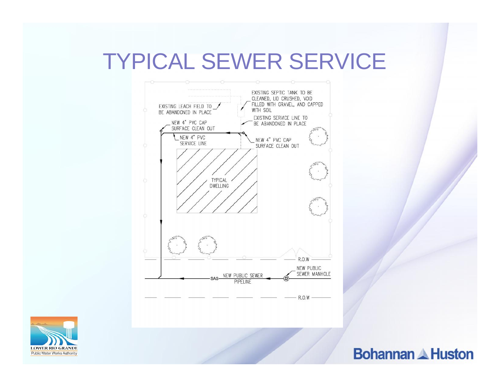### TYPICAL SEWER SERVICE